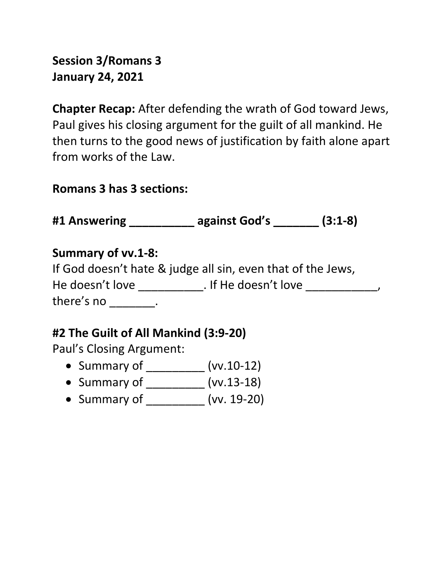## Session 3/Romans 3 January 24, 2021

Chapter Recap: After defending the wrath of God toward Jews, Paul gives his closing argument for the guilt of all mankind. He then turns to the good news of justification by faith alone apart from works of the Law.

#### Romans 3 has 3 sections:

#1 Answering \_\_\_\_\_\_\_\_\_\_ against God's \_\_\_\_\_\_\_ (3:1-8)

#### Summary of vv.1-8:

|                 | If God doesn't hate & judge all sin, even that of the Jews, |
|-----------------|-------------------------------------------------------------|
| He doesn't love | . If He doesn't love                                        |
| there's no      |                                                             |

### #2 The Guilt of All Mankind (3:9-20)

Paul's Closing Argument:

- Summary of \_\_\_\_\_\_\_\_\_\_ (vv.10-12)
- Summary of \_\_\_\_\_\_\_\_\_\_ (vv.13-18)
- Summary of (vv. 19-20)